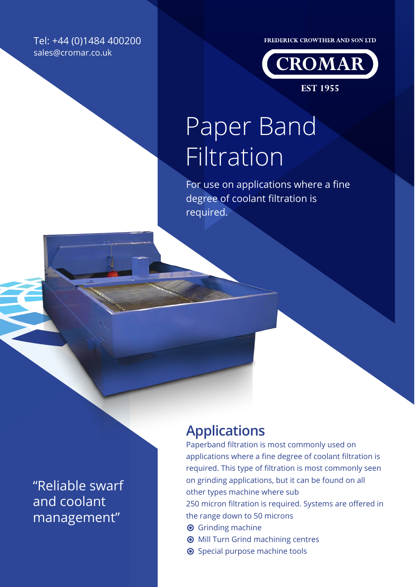Tel: +44 (0)1484 400200 sales@cromar.co.uk

FREDERICK CROWTHER AND SON LTD



**EST 1955** 

# Paper Band Filtration

For use on applications where a fine degree of coolant filtration is required.

"Reliable swarf and coolant management"

### **Applications**

Paperband filtration is most commonly used on applications where a fine degree of coolant filtration is required. This type of filtration is most commonly seen on grinding applications, but it can be found on all other types machine where sub 250 micron filtration is required. Systems are offered in

- the range down to 50 microns
- **O** Grinding machine
- $\odot$  Mill Turn Grind machining centres
- Special purpose machine tools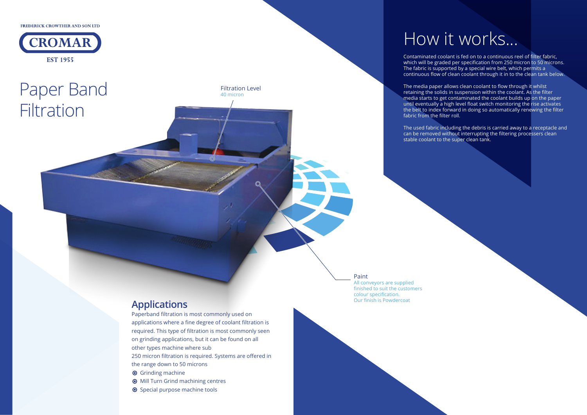### How it works...

Contaminated coolant is fed on to a continuous reel of filter fabric, which will be graded per specification from 250 micron to 50 microns. The fabric is supported by a special wire belt, which permits a continuous flow of clean coolant through it in to the clean tank below.

FREDERICK CROWTHER AND SON LTD



## Paper Band **Filtration**

The media paper allows clean coolant to flow through it whilst retaining the solids in suspension within the coolant. As the filter media starts to get contaminated the coolant builds up on the paper until eventually a high level float switch monitoring the rise activates the belt to index forward in doing so automatically renewing the filter fabric from the filter roll.

The used fabric including the debris is carried away to a receptacle and can be removed without interrupting the filtering processers clean stable coolant to the super clean tank.

Paint

All conveyors are supplied finished to suit the customers colour specification. Our finish is Powdercoat

Filtration Level

40 micron

#### **Applications**

Paperband filtration is most commonly used on applications where a fine degree of coolant filtration is required. This type of filtration is most commonly seen on grinding applications, but it can be found on all other types machine where sub 250 micron filtration is required. Systems are offered in

the range down to 50 microns

**O** Grinding machine

- **O** Mill Turn Grind machining centres
- Special purpose machine tools